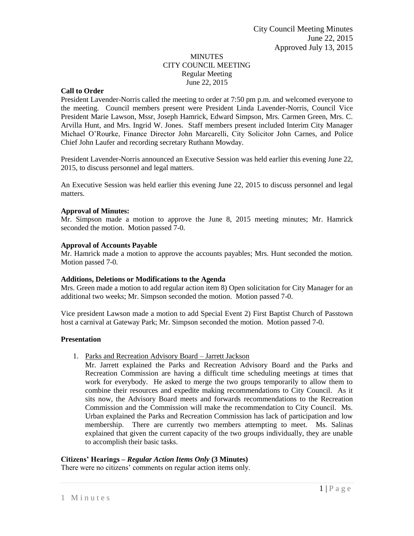## MINUTES CITY COUNCIL MEETING Regular Meeting June 22, 2015

## **Call to Order**

President Lavender-Norris called the meeting to order at 7:50 pm p.m. and welcomed everyone to the meeting. Council members present were President Linda Lavender-Norris, Council Vice President Marie Lawson, Mssr, Joseph Hamrick, Edward Simpson, Mrs. Carmen Green, Mrs. C. Arvilla Hunt, and Mrs. Ingrid W. Jones. Staff members present included Interim City Manager Michael O'Rourke, Finance Director John Marcarelli, City Solicitor John Carnes, and Police Chief John Laufer and recording secretary Ruthann Mowday.

President Lavender-Norris announced an Executive Session was held earlier this evening June 22, 2015, to discuss personnel and legal matters.

An Executive Session was held earlier this evening June 22, 2015 to discuss personnel and legal matters.

### **Approval of Minutes:**

Mr. Simpson made a motion to approve the June 8, 2015 meeting minutes; Mr. Hamrick seconded the motion. Motion passed 7-0.

#### **Approval of Accounts Payable**

Mr. Hamrick made a motion to approve the accounts payables; Mrs. Hunt seconded the motion. Motion passed 7-0.

#### **Additions, Deletions or Modifications to the Agenda**

Mrs. Green made a motion to add regular action item 8) Open solicitation for City Manager for an additional two weeks; Mr. Simpson seconded the motion. Motion passed 7-0.

Vice president Lawson made a motion to add Special Event 2) First Baptist Church of Passtown host a carnival at Gateway Park; Mr. Simpson seconded the motion. Motion passed 7-0.

#### **Presentation**

- 1. Parks and Recreation Advisory Board Jarrett Jackson
	- Mr. Jarrett explained the Parks and Recreation Advisory Board and the Parks and Recreation Commission are having a difficult time scheduling meetings at times that work for everybody. He asked to merge the two groups temporarily to allow them to combine their resources and expedite making recommendations to City Council. As it sits now, the Advisory Board meets and forwards recommendations to the Recreation Commission and the Commission will make the recommendation to City Council. Ms. Urban explained the Parks and Recreation Commission has lack of participation and low membership. There are currently two members attempting to meet. Ms. Salinas explained that given the current capacity of the two groups individually, they are unable to accomplish their basic tasks.

## **Citizens' Hearings –** *Regular Action Items Only* **(3 Minutes)**

There were no citizens' comments on regular action items only.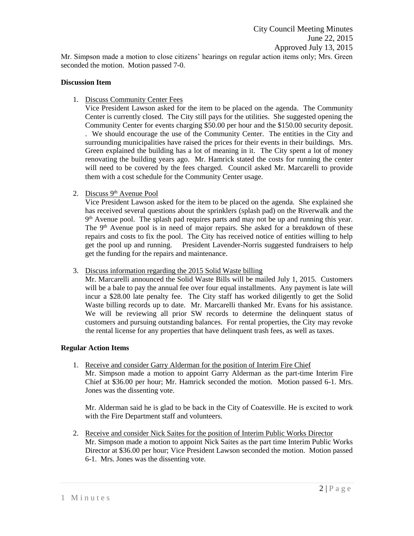Mr. Simpson made a motion to close citizens' hearings on regular action items only; Mrs. Green seconded the motion. Motion passed 7-0.

## **Discussion Item**

1. Discuss Community Center Fees

Vice President Lawson asked for the item to be placed on the agenda. The Community Center is currently closed. The City still pays for the utilities. She suggested opening the Community Center for events charging \$50.00 per hour and the \$150.00 security deposit. . We should encourage the use of the Community Center. The entities in the City and surrounding municipalities have raised the prices for their events in their buildings. Mrs. Green explained the building has a lot of meaning in it. The City spent a lot of money renovating the building years ago. Mr. Hamrick stated the costs for running the center will need to be covered by the fees charged. Council asked Mr. Marcarelli to provide them with a cost schedule for the Community Center usage.

2. Discuss 9<sup>th</sup> Avenue Pool

Vice President Lawson asked for the item to be placed on the agenda. She explained she has received several questions about the sprinklers (splash pad) on the Riverwalk and the 9<sup>th</sup> Avenue pool. The splash pad requires parts and may not be up and running this year. The 9<sup>th</sup> Avenue pool is in need of major repairs. She asked for a breakdown of these repairs and costs to fix the pool. The City has received notice of entities willing to help get the pool up and running. President Lavender-Norris suggested fundraisers to help get the funding for the repairs and maintenance.

3. Discuss information regarding the 2015 Solid Waste billing

Mr. Marcarelli announced the Solid Waste Bills will be mailed July 1, 2015. Customers will be a bale to pay the annual fee over four equal installments. Any payment is late will incur a \$28.00 late penalty fee. The City staff has worked diligently to get the Solid Waste billing records up to date. Mr. Marcarelli thanked Mr. Evans for his assistance. We will be reviewing all prior SW records to determine the delinquent status of customers and pursuing outstanding balances. For rental properties, the City may revoke the rental license for any properties that have delinquent trash fees, as well as taxes.

## **Regular Action Items**

1. Receive and consider Garry Alderman for the position of Interim Fire Chief Mr. Simpson made a motion to appoint Garry Alderman as the part-time Interim Fire Chief at \$36.00 per hour; Mr. Hamrick seconded the motion. Motion passed 6-1. Mrs. Jones was the dissenting vote.

Mr. Alderman said he is glad to be back in the City of Coatesville. He is excited to work with the Fire Department staff and volunteers.

2. Receive and consider Nick Saites for the position of Interim Public Works Director Mr. Simpson made a motion to appoint Nick Saites as the part time Interim Public Works Director at \$36.00 per hour; Vice President Lawson seconded the motion. Motion passed 6-1. Mrs. Jones was the dissenting vote.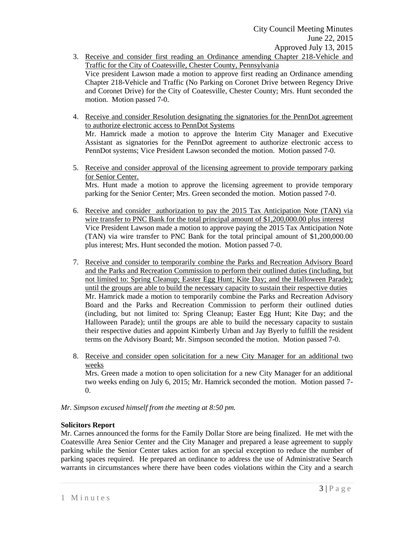- 3. Receive and consider first reading an Ordinance amending Chapter 218-Vehicle and Traffic for the City of Coatesville, Chester County, Pennsylvania Vice president Lawson made a motion to approve first reading an Ordinance amending Chapter 218-Vehicle and Traffic (No Parking on Coronet Drive between Regency Drive and Coronet Drive) for the City of Coatesville, Chester County; Mrs. Hunt seconded the motion. Motion passed 7-0.
- 4. Receive and consider Resolution designating the signatories for the PennDot agreement to authorize electronic access to PennDot Systems Mr. Hamrick made a motion to approve the Interim City Manager and Executive Assistant as signatories for the PennDot agreement to authorize electronic access to PennDot systems; Vice President Lawson seconded the motion. Motion passed 7-0.
- 5. Receive and consider approval of the licensing agreement to provide temporary parking for Senior Center. Mrs. Hunt made a motion to approve the licensing agreement to provide temporary parking for the Senior Center; Mrs. Green seconded the motion. Motion passed 7-0.
- 6. Receive and consider authorization to pay the 2015 Tax Anticipation Note (TAN) via wire transfer to PNC Bank for the total principal amount of \$1,200,000.00 plus interest Vice President Lawson made a motion to approve paying the 2015 Tax Anticipation Note (TAN) via wire transfer to PNC Bank for the total principal amount of \$1,200,000.00 plus interest; Mrs. Hunt seconded the motion. Motion passed 7-0.
- 7. Receive and consider to temporarily combine the Parks and Recreation Advisory Board and the Parks and Recreation Commission to perform their outlined duties (including, but not limited to: Spring Cleanup; Easter Egg Hunt; Kite Day; and the Halloween Parade); until the groups are able to build the necessary capacity to sustain their respective duties Mr. Hamrick made a motion to temporarily combine the Parks and Recreation Advisory Board and the Parks and Recreation Commission to perform their outlined duties (including, but not limited to: Spring Cleanup; Easter Egg Hunt; Kite Day; and the Halloween Parade); until the groups are able to build the necessary capacity to sustain their respective duties and appoint Kimberly Urban and Jay Byerly to fulfill the resident terms on the Advisory Board; Mr. Simpson seconded the motion. Motion passed 7-0.
- 8. Receive and consider open solicitation for a new City Manager for an additional two weeks

Mrs. Green made a motion to open solicitation for a new City Manager for an additional two weeks ending on July 6, 2015; Mr. Hamrick seconded the motion. Motion passed 7- 0.

*Mr. Simpson excused himself from the meeting at 8:50 pm.* 

## **Solicitors Report**

Mr. Carnes announced the forms for the Family Dollar Store are being finalized. He met with the Coatesville Area Senior Center and the City Manager and prepared a lease agreement to supply parking while the Senior Center takes action for an special exception to reduce the number of parking spaces required. He prepared an ordinance to address the use of Administrative Search warrants in circumstances where there have been codes violations within the City and a search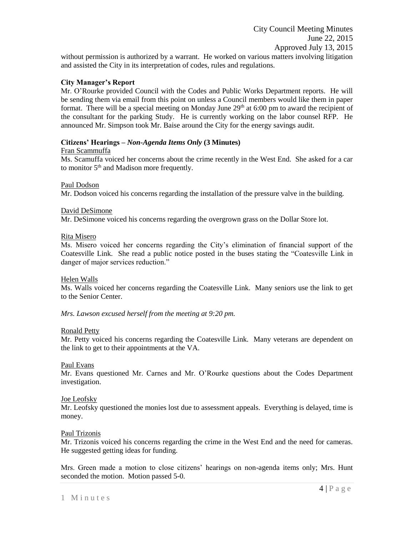without permission is authorized by a warrant. He worked on various matters involving litigation and assisted the City in its interpretation of codes, rules and regulations.

### **City Manager's Report**

Mr. O'Rourke provided Council with the Codes and Public Works Department reports. He will be sending them via email from this point on unless a Council members would like them in paper format. There will be a special meeting on Monday June 29<sup>th</sup> at 6:00 pm to award the recipient of the consultant for the parking Study. He is currently working on the labor counsel RFP. He announced Mr. Simpson took Mr. Baise around the City for the energy savings audit.

### **Citizens' Hearings –** *Non-Agenda Items Only* **(3 Minutes)**

#### Fran Scammuffa

Ms. Scamuffa voiced her concerns about the crime recently in the West End. She asked for a car to monitor  $5<sup>th</sup>$  and Madison more frequently.

Paul Dodson

Mr. Dodson voiced his concerns regarding the installation of the pressure valve in the building.

### David DeSimone

Mr. DeSimone voiced his concerns regarding the overgrown grass on the Dollar Store lot.

### Rita Misero

Ms. Misero voiced her concerns regarding the City's elimination of financial support of the Coatesville Link. She read a public notice posted in the buses stating the "Coatesville Link in danger of major services reduction."

## Helen Walls

Ms. Walls voiced her concerns regarding the Coatesville Link. Many seniors use the link to get to the Senior Center.

*Mrs. Lawson excused herself from the meeting at 9:20 pm.* 

#### Ronald Petty

Mr. Petty voiced his concerns regarding the Coatesville Link. Many veterans are dependent on the link to get to their appointments at the VA.

### Paul Evans

Mr. Evans questioned Mr. Carnes and Mr. O'Rourke questions about the Codes Department investigation.

#### Joe Leofsky

Mr. Leofsky questioned the monies lost due to assessment appeals. Everything is delayed, time is money.

#### Paul Trizonis

Mr. Trizonis voiced his concerns regarding the crime in the West End and the need for cameras. He suggested getting ideas for funding.

Mrs. Green made a motion to close citizens' hearings on non-agenda items only; Mrs. Hunt seconded the motion. Motion passed 5-0.